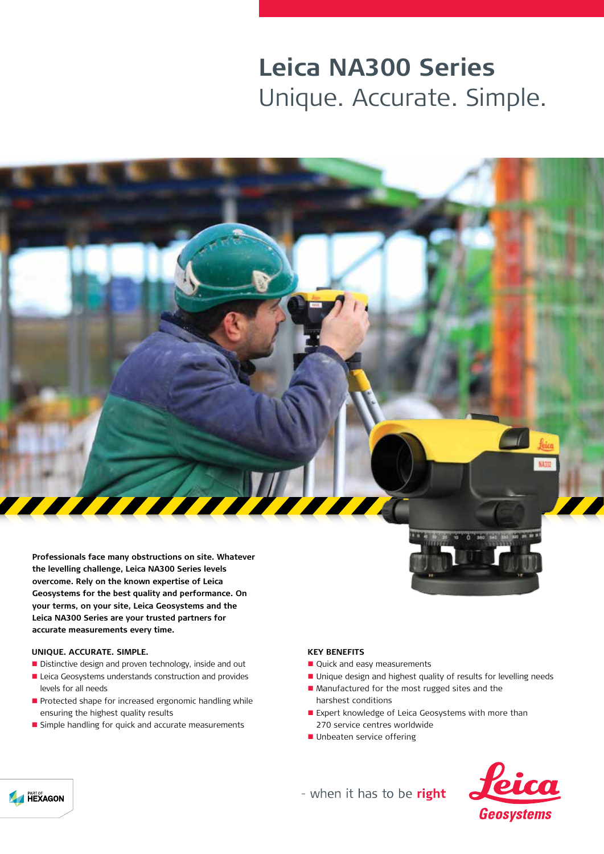## **Leica NA300 Series** Unique. Accurate. Simple.

**Professionals face many obstructions on site. Whatever the levelling challenge, Leica NA300 Series levels overcome. Rely on the known expertise of Leica Geosystems for the best quality and performance. On your terms, on your site, Leica Geosystems and the Leica NA300 Series are your trusted partners for accurate measurements every time.**

## **UNIQUE. ACCURATE. SIMPLE.**

- Distinctive design and proven technology, inside and out
- Leica Geosystems understands construction and provides levels for all needs
- Protected shape for increased ergonomic handling while ensuring the highest quality results
- **n** Simple handling for quick and accurate measurements



feica

## **KEY BENEFITS**

- Quick and easy measurements
- Unique design and highest quality of results for levelling needs
- Manufactured for the most rugged sites and the harshest conditions
- Expert knowledge of Leica Geosystems with more than 270 service centres worldwide
- Unbeaten service offering



- when it has to be right